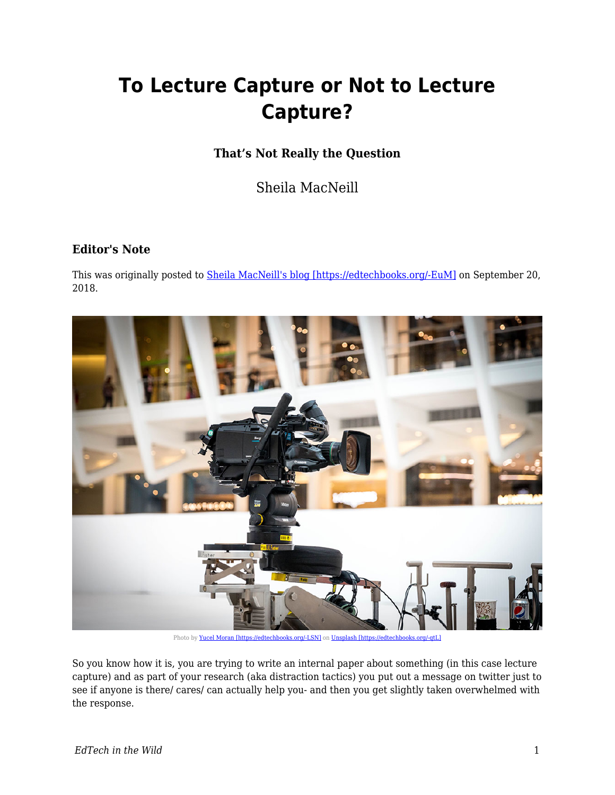## **To Lecture Capture or Not to Lecture Capture?**

## **That's Not Really the Question**

Sheila MacNeill

## **Editor's Note**

This was originally posted to **Sheila MacNeill's blog [https://edtechbooks.org/-EuM]** on September 20, 2018.



Photo by [Yucel Moran \[https://edtechbooks.org/-LSN\]](https://unsplash.com/photos/79OwuI9JEyQ?utm_source=unsplash&utm_medium=referral&utm_content=creditCopyText) on Unsplash [https://edtechbo

So you know how it is, you are trying to write an internal paper about something (in this case lecture capture) and as part of your research (aka distraction tactics) you put out a message on twitter just to see if anyone is there/ cares/ can actually help you- and then you get slightly taken overwhelmed with the response.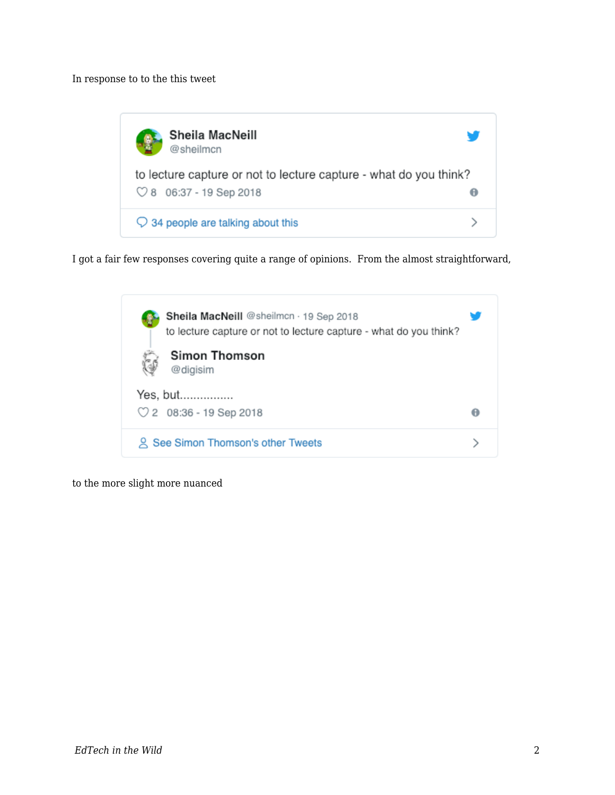In response to to the this tweet



I got a fair few responses covering quite a range of opinions. From the almost straightforward,

| Sheila MacNeill @sheilmcn · 19 Sep 2018<br>to lecture capture or not to lecture capture - what do you think? |  |
|--------------------------------------------------------------------------------------------------------------|--|
| <b>Simon Thomson</b><br>@digisim                                                                             |  |
| Yes, but<br>$\heartsuit$ 2 08:36 - 19 Sep 2018                                                               |  |
| See Simon Thomson's other Tweets                                                                             |  |

to the more slight more nuanced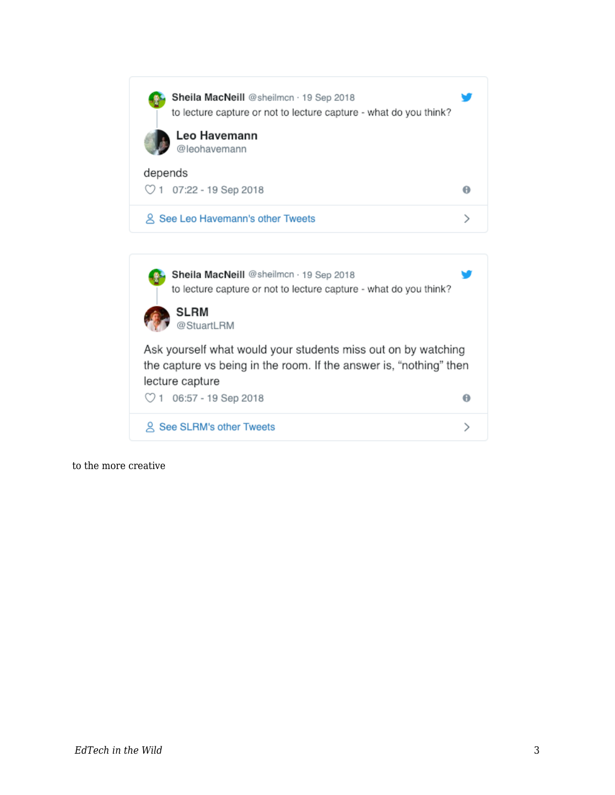| Sheila MacNeill @sheilmcn · 19 Sep 2018<br>to lecture capture or not to lecture capture - what do you think?<br>Leo Havemann<br>@leohavemann           |   |
|--------------------------------------------------------------------------------------------------------------------------------------------------------|---|
| depends                                                                                                                                                |   |
| $\heartsuit$ 1 07:22 - 19 Sep 2018                                                                                                                     | θ |
| 久 See Leo Havemann's other Tweets                                                                                                                      | ⋋ |
|                                                                                                                                                        |   |
| Sheila MacNeill @sheilmcn · 19 Sep 2018<br>to lecture capture or not to lecture capture - what do you think?<br><b>SLRM</b><br>@StuartLRM              |   |
| Ask yourself what would your students miss out on by watching<br>the capture vs being in the room. If the answer is, "nothing" then<br>lecture capture |   |
| $\heartsuit$ 1 06:57 - 19 Sep 2018                                                                                                                     | θ |
| Q See SLRM's other Tweets                                                                                                                              |   |

to the more creative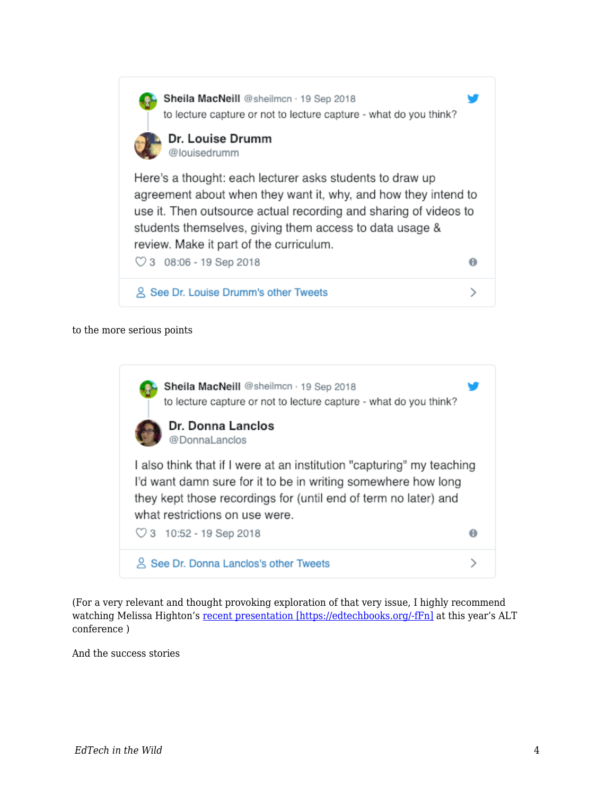

to the more serious points



(For a very relevant and thought provoking exploration of that very issue, I highly recommend watching Melissa Highton's [recent presentation \[https://edtechbooks.org/-fFn\]](https://altc.alt.ac.uk/2018/sessions/next-expect-locusts-dealing-with-relationship-breakdowns-18-47/) at this year's ALT conference )

And the success stories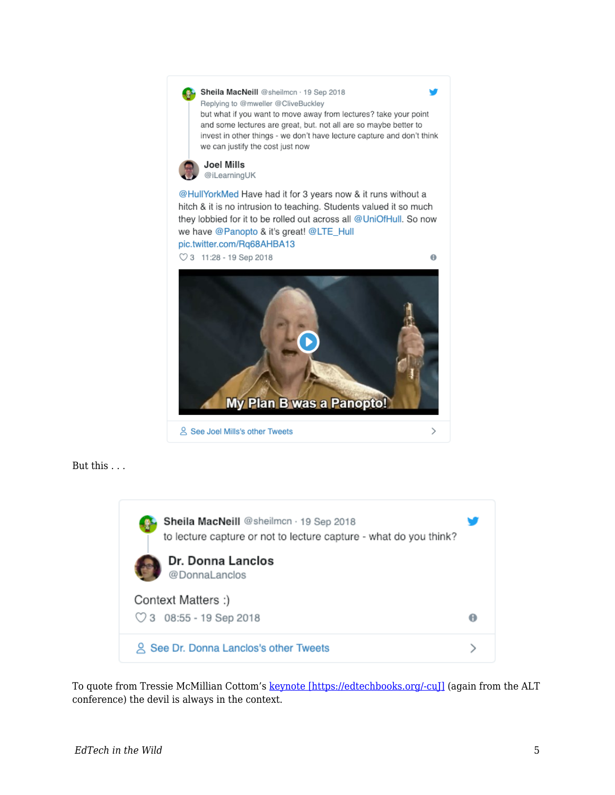





To quote from Tressie McMillian Cottom's keynote [https://edtechbooks.org/-cu]] (again from the ALT conference) the devil is always in the context.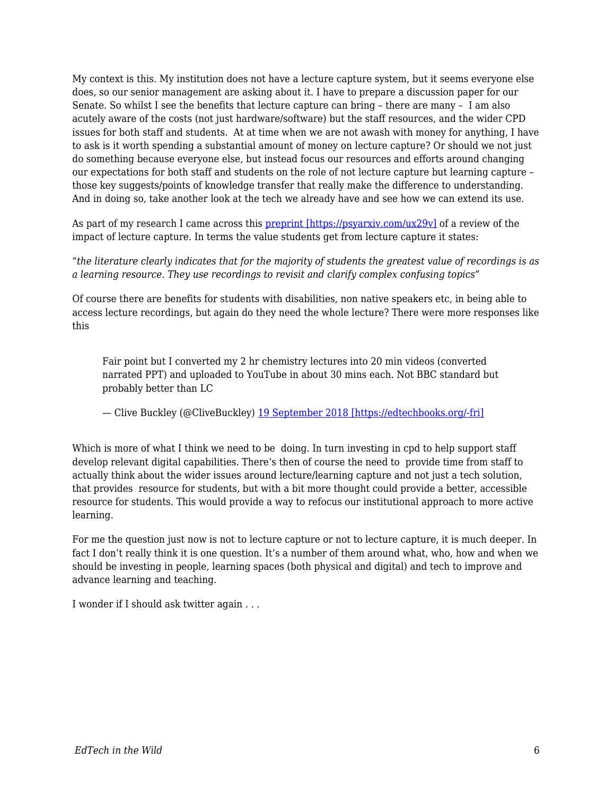My context is this. My institution does not have a lecture capture system, but it seems everyone else does, so our senior management are asking about it. I have to prepare a discussion paper for our Senate. So whilst I see the benefits that lecture capture can bring – there are many – I am also acutely aware of the costs (not just hardware/software) but the staff resources, and the wider CPD issues for both staff and students. At at time when we are not awash with money for anything, I have to ask is it worth spending a substantial amount of money on lecture capture? Or should we not just do something because everyone else, but instead focus our resources and efforts around changing our expectations for both staff and students on the role of not lecture capture but learning capture – those key suggests/points of knowledge transfer that really make the difference to understanding. And in doing so, take another look at the tech we already have and see how we can extend its use.

As part of my research I came across this [preprint \[https://psyarxiv.com/ux29v\]](https://psyarxiv.com/ux29v) of a review of the impact of lecture capture. In terms the value students get from lecture capture it states:

*"the literature clearly indicates that for the majority of students the greatest value of recordings is as a learning resource. They use recordings to revisit and clarify complex confusing topics"*

Of course there are benefits for students with disabilities, non native speakers etc, in being able to access lecture recordings, but again do they need the whole lecture? There were more responses like this

Fair point but I converted my 2 hr chemistry lectures into 20 min videos (converted narrated PPT) and uploaded to YouTube in about 30 mins each. Not BBC standard but probably better than LC

— Clive Buckley (@CliveBuckley) [19 September 2018 \[https://edtechbooks.org/-fri\]](https://twitter.com/CliveBuckley/status/1042480560315289601?ref_src=twsrc%5Etfw)

Which is more of what I think we need to be doing. In turn investing in cpd to help support staff develop relevant digital capabilities. There's then of course the need to provide time from staff to actually think about the wider issues around lecture/learning capture and not just a tech solution, that provides resource for students, but with a bit more thought could provide a better, accessible resource for students. This would provide a way to refocus our institutional approach to more active learning.

For me the question just now is not to lecture capture or not to lecture capture, it is much deeper. In fact I don't really think it is one question. It's a number of them around what, who, how and when we should be investing in people, learning spaces (both physical and digital) and tech to improve and advance learning and teaching.

I wonder if I should ask twitter again . . .